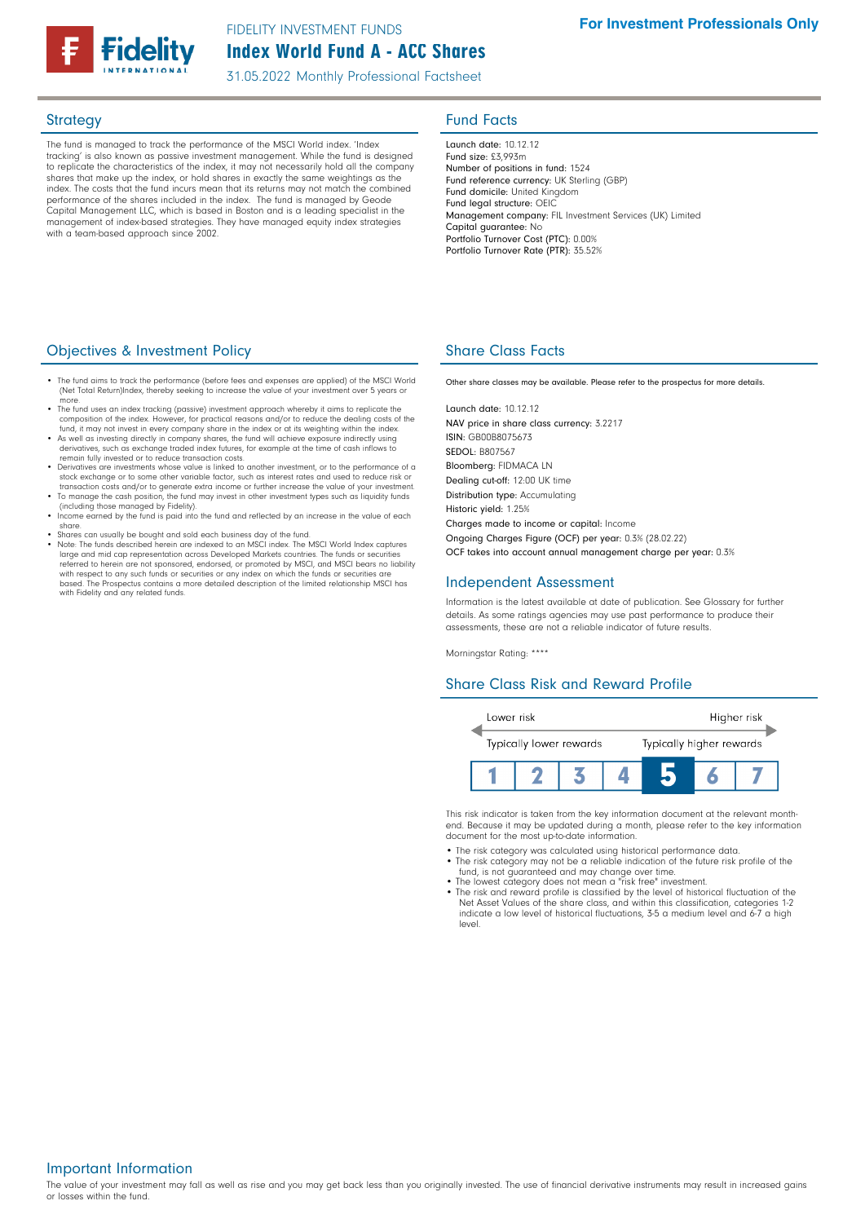

31.05.2022 Monthly Professional Factsheet

The fund is managed to track the performance of the MSCI World index. 'Index tracking' is also known as passive investment management. While the fund is designed to replicate the characteristics of the index, it may not necessarily hold all the company shares that make up the index, or hold shares in exactly the same weightings as the index. The costs that the fund incurs mean that its returns may not match the combined performance of the shares included in the index. The fund is managed by Geode Capital Management LLC, which is based in Boston and is a leading specialist in the management of index-based strategies. They have managed equity index strategies with a team-based approach since 2002.

## Strategy **Fund Facts**

Launch date: 10.12.12 Fund size: £3,993m Number of positions in fund: 1524 Fund reference currency: UK Sterling (GBP) Fund domicile: United Kingdom Fund legal structure: OEIC Management company: FIL Investment Services (UK) Limited Capital guarantee: No Portfolio Turnover Cost (PTC): 0.00% Portfolio Turnover Rate (PTR): 35.52%

### **Objectives & Investment Policy Share Class Facts** Share Class Facts

- The fund aims to track the performance (before fees and expenses are applied) of the MSCI World (Net Total Return)Index, thereby seeking to increase the value of your investment over 5 years
- more.<br>• The fund uses an index tracking (passive) investment approach whereby it aims to replicate the<br>• composition of the index. However, for practical reasons and/or to reduce the dealing costs of the<br>• fund, it may not
- As well as investing directly in company shares, the fund will achieve exposure indirectly using derivatives, such as exchange traded index futures, for example at the time of cash inflows to remain fully invested or to reduce transaction costs.
- Derivatives are investments whose value is linked to another investment, or to the performance of a stock exchange or to some other variable factor, such as interest rates and used to reduce risk or
- transaction costs and/or to generate extra income or further increase the value of your investment.<br>• To manage the cash position, the fund may invest in other investment types such as liquidity funds<br>(including those mana
- Income earned by the fund is paid into the fund and reflected by an increase in the value of each share.
- Shares can usually be bought and sold each business day of the fund.
- Note: The funds described herein are indexed to an MSCI index. The MSCI World Index captures large and mid cap representation across Developed Markets countries. The funds or securities referred to herein are not sponsored, endorsed, or promoted by MSCI, and MSCI bears no liability<br>with respect to any such funds or securities or any index on which the funds or securities are<br>based. The Prospectus contains with Fidelity and any related funds.

Other share classes may be available. Please refer to the prospectus for more details.

Launch date: 10.12.12 NAV price in share class currency: 3.2217 ISIN: GB00B8075673 SEDOL: B807567 Bloomberg: FIDMACA LN Dealing cut-off: 12:00 UK time Distribution type: Accumulating Historic yield: 1.25% Charges made to income or capital: Income Ongoing Charges Figure (OCF) per year: 0.3% (28.02.22) OCF takes into account annual management charge per year: 0.3%

### Independent Assessment

Information is the latest available at date of publication. See Glossary for further details. As some ratings agencies may use past performance to produce their assessments, these are not a reliable indicator of future results.

Morningstar Rating: \*\*\*\*

## Share Class Risk and Reward Profile



This risk indicator is taken from the key information document at the relevant monthend. Because it may be updated during a month, please refer to the key information document for the most up-to-date information.

- The risk category was calculated using historical performance data.
- The risk category may not be a reliable indication of the future risk profile of the fund, is not guaranteed and may change over time.
- The lowest category does not mean a "risk free" investment.
- The risk and reward profile is classified by the level of historical fluctuation of the Net Asset Values of the share class, and within this classification, categories 1-2 indicate a low level of historical fluctuations, 3-5 a medium level and 6-7 a high level.

Important Information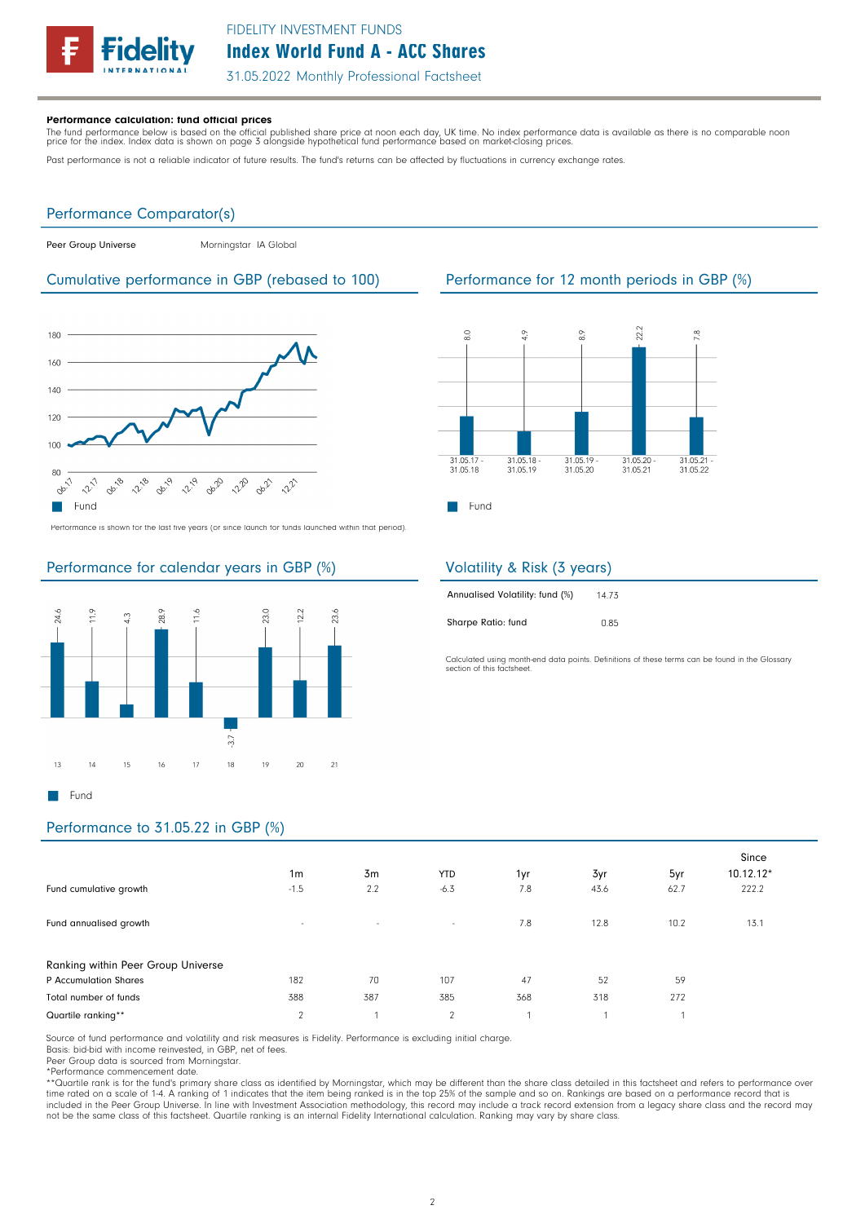

31.05.2022 Monthly Professional Factsheet

### Performance calculation: fund official prices

The fund performance below is based on the official published share price at noon each day, UK time. No index performance data is available as there is no comparable noon<br>price for the index. Index data is shown on page 3

Past performance is not a reliable indicator of future results. The fund's returns can be affected by fluctuations in currency exchange rates.

### Performance Comparator(s)

Peer Group Universe Morningstar IA Global

### Cumulative performance in GBP (rebased to 100) Performance for 12 month periods in GBP (%)



Performance is shown for the last five years (or since launch for funds launched within that period).

### Performance for calendar years in GBP (%)





## Volatility & Risk (3 years)

Sharpe Ratio: fund

| Annualised Volatility: fund (%) | 14.73 |
|---------------------------------|-------|
|                                 |       |

Calculated using month-end data points. Definitions of these terms can be found in the Glossary section of this factsheet

0.85

# Performance to 31.05.22 in GBP (%)

| Fund cumulative growth<br>Fund annualised growth            | 1 <sub>m</sub><br>$-1.5$<br>$\sim$ | 3m<br>2.2<br>$\sim$ | <b>YTD</b><br>$-6.3$<br>$\sim$ | 1yr<br>7.8<br>7.8 | 3yr<br>43.6<br>12.8 | 5yr<br>62.7<br>10.2 | Since<br>$10.12.12*$<br>222.2<br>13.1 |
|-------------------------------------------------------------|------------------------------------|---------------------|--------------------------------|-------------------|---------------------|---------------------|---------------------------------------|
| Ranking within Peer Group Universe<br>P Accumulation Shares | 182                                | 70                  | 107                            | 47                | 52                  | 59                  |                                       |
| Total number of funds<br>Quartile ranking**                 | 388<br>$\mathcal{P}$               | 387                 | 385<br>$\overline{2}$          | 368               | 318                 | 272                 |                                       |

Source of fund performance and volatility and risk measures is Fidelity. Performance is excluding initial charge.

Basis: bid-bid with income reinvested, in GBP, net of fees.

Peer Group data is sourced from Morningstar.

\*Performance commencement date.<br>\*\*Quartile rank is for the fund's primary share class as identified by Morningstar, which may be different than the share class detailed in this factsheet and refers to performance over<br>time included in the Peer Group Universe. In line with Investment Association methodology, this record may include a track record extension from a legacy share class and the record may included in the Peer Group Universe. In li not be the same class of this factsheet. Quartile ranking is an internal Fidelity International calculation. Ranking may vary by share class.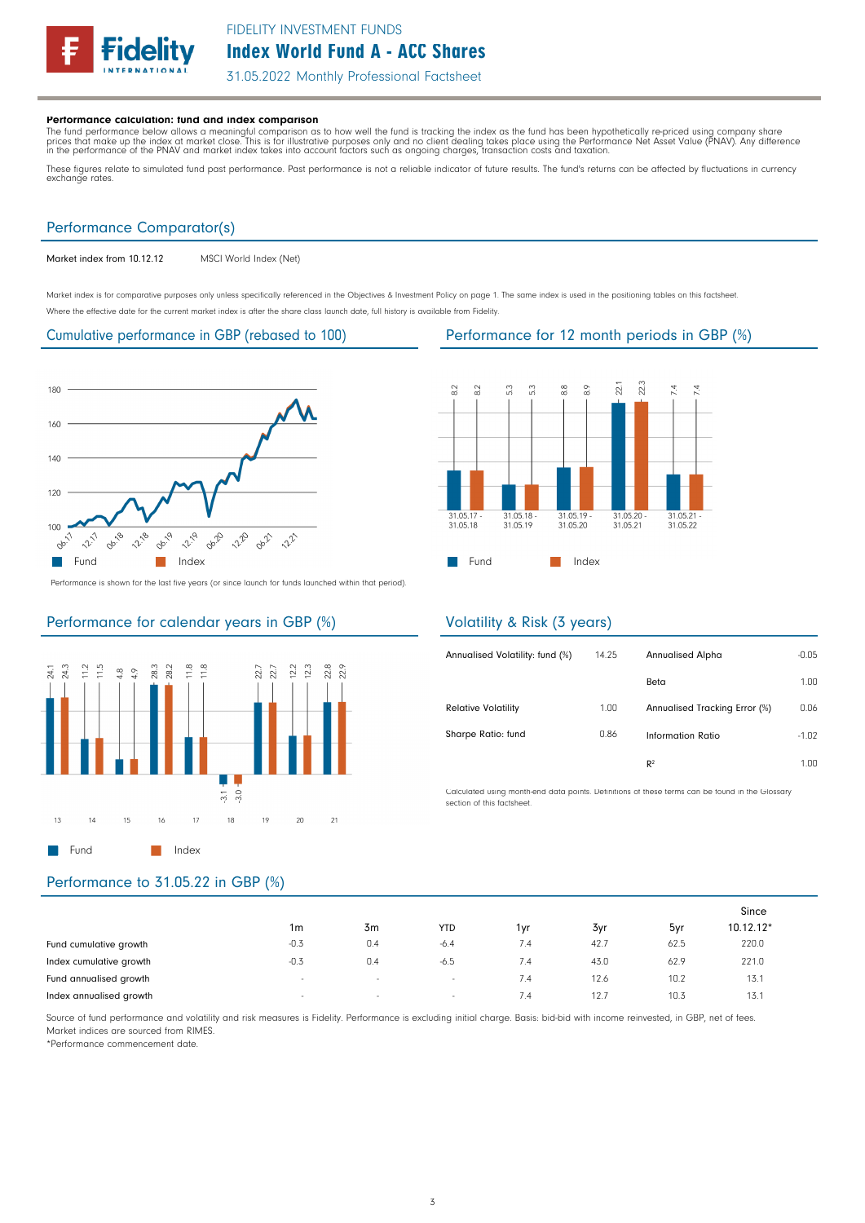

31.05.2022 Monthly Professional Factsheet

### Performance calculation: fund and index comparison

The fund performance below allows a meaningful comparison as to how well the fund is tracking the index as the fund has been hypothetically re-priced using company share<br>prices that make up the index at market close. This

These figures relate to simulated fund past performance. Past performance is not a reliable indicator of future results. The fund's returns can be affected by fluctuations in currency exchange rates.

### Performance Comparator(s)

Market index from 10.12.12 MSCI World Index (Net)

Market index is for comparative purposes only unless specifically referenced in the Objectives & Investment Policy on page 1. The same index is used in the positioning tables on this factsheet. Where the effective date for the current market index is after the share class launch date, full history is available from Fidelity.

### Cumulative performance in GBP (rebased to 100) Performance for 12 month periods in GBP (%)



Performance is shown for the last five years (or since launch for funds launched within that period).

## Performance for calendar years in GBP (%)



### 22.3  $22.1$  $\overline{8.2}$  $\overline{32}$ 5.3  $\tilde{\mathbf{r}}$ 3.8  $8.9$  $7.4$  $\overline{74}$  $310<sup>5</sup>$ 31.05.18 31.05.19 31.05.20 31.05 31.05.18 31.05.19 31.05.20 31.05.21 31.05.22 **Fund** Index

### Volatility & Risk (3 years)

| Annualised Volatility: fund (%) | 14.25 | Annualised Alpha              | $-0.05$ |
|---------------------------------|-------|-------------------------------|---------|
|                                 |       | Beta                          | 1.00    |
| <b>Relative Volatility</b>      | 1.00  | Annualised Tracking Error (%) | 0.06    |
| Sharpe Ratio: fund              | 0.86  | Information Ratio             | $-1.02$ |
|                                 |       | R <sup>2</sup>                | 1 NN    |

Calculated using month-end data points. Definitions of these terms can be found in the Glossary section of this factsheet.

## Performance to 31.05.22 in GBP (%)

|                         |                          |        |            |              |      |      | Since     |  |
|-------------------------|--------------------------|--------|------------|--------------|------|------|-----------|--|
|                         | 1m                       | 3m     | <b>YTD</b> | 1vr          | 3yr  | 5yr  | 10.12.12* |  |
| Fund cumulative growth  | $-0.3$                   | 0.4    | $-6.4$     | 7.4          | 42.7 | 62.5 | 220.0     |  |
| Index cumulative growth | $-0.3$                   | 0.4    | $-6.5$     | 7.4          | 43.0 | 62.9 | 221.0     |  |
| Fund annualised growth  | $\overline{\phantom{a}}$ | $\sim$ | $\sim$     | 7.4          | 12.6 | 10.2 | 13.1      |  |
| Index annualised growth | $\overline{\phantom{a}}$ | $\sim$ | $\sim$     | $\lambda$ .4 | 12.7 | 10.3 | 13.1      |  |

Source of fund performance and volatility and risk measures is Fidelity. Performance is excluding initial charge. Basis: bid-bid with income reinvested, in GBP, net of fees. Market indices are sourced from RIMES.

\*Performance commencement date.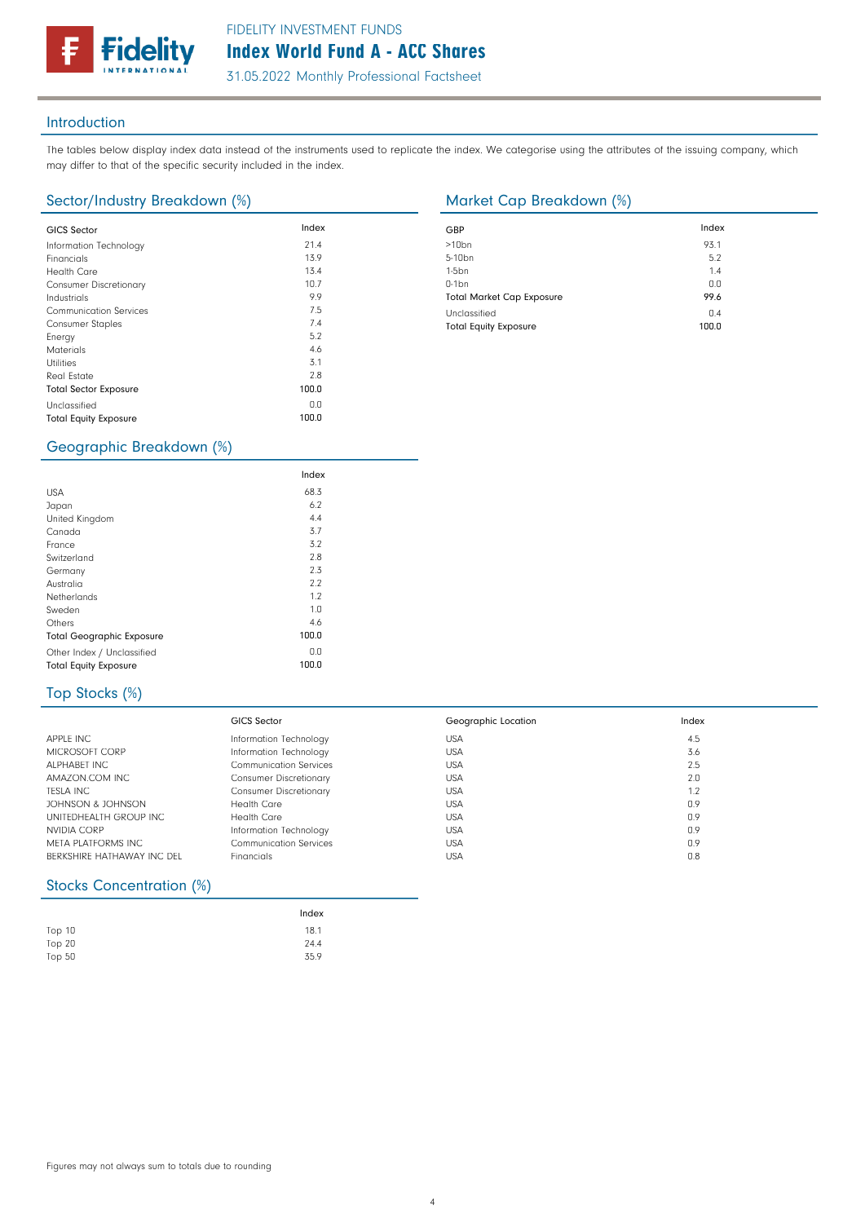31.05.2022 Monthly Professional Factsheet

### Introduction

The tables below display index data instead of the instruments used to replicate the index. We categorise using the attributes of the issuing company, which may differ to that of the specific security included in the index.

### Sector/Industry Breakdown (%) Market Cap Breakdown (%)

delitv

| <b>GICS Sector</b>            | Index | GBP              |
|-------------------------------|-------|------------------|
|                               |       |                  |
| Information Technology        | 21.4  | >10 <sub>k</sub> |
| Financials                    | 13.9  | $5 - 10$         |
| <b>Health Care</b>            | 13.4  | $1-5b$           |
| <b>Consumer Discretionary</b> | 10.7  | $0-1b$           |
| Industrials                   | 9.9   | Tota             |
| <b>Communication Services</b> | 7.5   | Uncl             |
| <b>Consumer Staples</b>       | 7.4   | Tota             |
| Energy                        | 5.2   |                  |
| <b>Materials</b>              | 4.6   |                  |
| <b>Utilities</b>              | 3.1   |                  |
| Real Estate                   | 2.8   |                  |
| <b>Total Sector Exposure</b>  | 100.0 |                  |
| Unclassified                  | 0.0   |                  |
| <b>Total Equity Exposure</b>  | 100.0 |                  |
|                               |       |                  |

| GBP                              | Index |
|----------------------------------|-------|
| $>10$ bn                         | 93.1  |
| 5-10 <sub>bn</sub>               | 5.2   |
| $1-5bn$                          | 1.4   |
| $0-1$ bn                         | 0.0   |
| <b>Total Market Cap Exposure</b> | 99.6  |
| Unclassified                     | 0.4   |
| <b>Total Equity Exposure</b>     | 100.0 |

## Geographic Breakdown (%)

|                                  | Index |  |
|----------------------------------|-------|--|
| <b>USA</b>                       | 68.3  |  |
| Japan                            | 6.2   |  |
| United Kingdom                   | 4.4   |  |
| Canada                           | 3.7   |  |
| France                           | 3.2   |  |
| Switzerland                      | 2.8   |  |
| Germany                          | 2.3   |  |
| Australia                        | 2.2   |  |
| Netherlands                      | 1.2   |  |
| Sweden                           | 1.0   |  |
| Others                           | 4.6   |  |
| <b>Total Geographic Exposure</b> | 100.0 |  |
| Other Index / Unclassified       | 0.0   |  |
| <b>Total Equity Exposure</b>     | 100.0 |  |

## Top Stocks (%)

|                            | <b>GICS Sector</b>            | Geographic Location | Index |
|----------------------------|-------------------------------|---------------------|-------|
| APPLE INC                  | Information Technology        | <b>USA</b>          | 4.5   |
| MICROSOFT CORP             | Information Technology        | <b>USA</b>          | 3.6   |
| ALPHABET INC               | <b>Communication Services</b> | <b>USA</b>          | 2.5   |
| AMAZON COM INC             | <b>Consumer Discretionary</b> | <b>USA</b>          | 2.0   |
| <b>TESLA INC</b>           | <b>Consumer Discretionary</b> | <b>USA</b>          | 1.2   |
| JOHNSON & JOHNSON          | <b>Health Care</b>            | <b>USA</b>          | 0.9   |
| UNITEDHEALTH GROUP INC.    | Health Care                   | <b>USA</b>          | 0.9   |
| NVIDIA CORP                | Information Technology        | <b>USA</b>          | 0.9   |
| META PLATFORMS INC         | <b>Communication Services</b> | <b>USA</b>          | 0.9   |
| BERKSHIRE HATHAWAY INC DEL | <b>Financials</b>             | <b>USA</b>          | 0.8   |

## Stocks Concentration (%)

|          | Index |
|----------|-------|
| Top 10   | 18.1  |
| Top 20   | 24.4  |
| Top $50$ | 35.9  |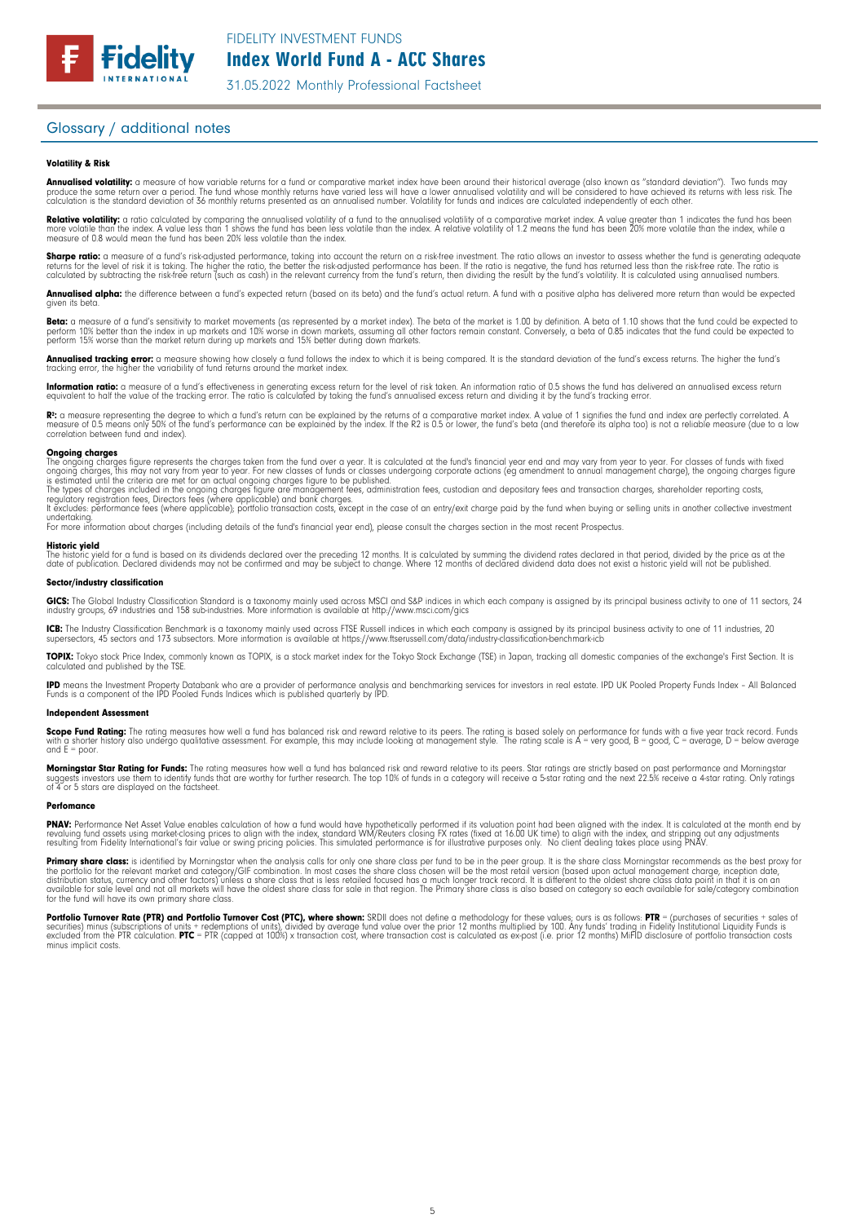

31.05.2022 Monthly Professional Factsheet

### Glossary / additional notes

### Volatility & Risk

**Annualised volatility:** a measure of how variable returns for a fund or comparative market index have been around their historical average (also known as "standard deviation"). Two funds may<br>produce the same return over a calculation is the standard deviation of 36 monthly returns presented as an annualised number. Volatility for funds and indices are calculated independently of each other

**Relative volatility:** a ratio calculated by comparing the annualised volatility of a fund to the annualised volatility of a comparative market index. A value greater than 1 indicates the fund has been<br>more volatile than t measure of 0.8 would mean the fund has been 20% less volatile than the index.

**Sharpe ratio:** a measure of a fund's risk-adjusted performance, taking into account the return on a risk-free investment. The ratio allows an investor to assess whether the fund is generating adequate the tund is generati

Annualised alpha: the difference between a fund's expected return (based on its beta) and the fund's actual return. A fund with a positive alpha has delivered more return than would be expected given its beta

**Beta:** a measure of a fund's sensitivity to market movements (as represented by a market index). The beta of the market is 1.00 by definition. A beta of 1.10 shows that the fund could be expected to<br>perform 10% better tha perform 15% worse than the market return during up markets and 15% better during down markets.

**Annualised tracking error:** a measure showing how closely a tund tollows the index to which it is being compared. It is the standard deviation of the fund's excess returns. The higher the fund's<br>tracking error, the higher

**Information ratio:** a measure ot a tund's eftectiveness in generating excess return for the level of risk taken. An information ratio of U.5 shows the fund has delivered an annualised excess return<br>equivalent to half the

Rº: a measure representing the degree to which a fund's return can be explained by the returns of a comparative market index. A value of 1 signifies the fund and index are perfectly correlated. A<br>measure of 0.5 means only correlation between fund and index).

**Ongoing charges** figure represents the charges taken from the fund over a year. It is calculated at the fund's financial year end and may vary from year to year. For classes of funds with fixed ongoing charges figure repr

For more information about charges (including details of the fund's financial year end), please consult the charges section in the most recent Prospectus.

**Historic yield**<br>The historic yield for a fund is based on its dividends declared over the preceding 12 months. It is calculated by summing the dividend rates declared in that period, divided by the price as at the date of publication. Declared dividends may not be confirmed and may be subject to change. Where 12 months of declared dividend data does not exist a historic yield will not be published.

### Sector/industry classification

GICS: The Global Industry Classification Standard is a taxonomy mainly used across MSCI and S&P indices in which each company is assigned by its principal business activity to one of 11 sectors, 24 industry groups, 69 industries and 158 sub-industries. More information is available at http://www.msci.com/gics

**ICB:** The Industry Classitication Benchmark is a taxonomy mainly used across FTSE Russell indices in which each company is assigned by its principal business activity to one of 11 industries, 20<br>supersectors, 45 sectors a

TOPIX: Tokyo stock Price Index, commonly known as TOPIX, is a stock market index for the Tokyo Stock Exchange (TSE) in Japan, tracking all domestic companies of the exchange's First Section. It is calculated and published by the TSE.

**IPD** means the Investment Property Databank who are a provider of performance analysis and benchmarking services for investors in real estate. IPD UK Pooled Property Funds Index - All Balanced<br>Funds is a component of the

### Independent Assessment

**Scope Fund Rating:** The rating measures how well a fund has balanced risk and reward relative to its peers. The rating is based solely on performance for funds with a five year track record. Funds<br>with a shorter history a  $and E = poor$ 

**Morningstar Star Rating for Funds:** The rating measures how well a tund has balanced risk and reward relative to its peers. Star ratings are strictly based on past performance and Morningstar<br>suggests investors use them t

### **Perfomance**

**PNAV:** Performance Net Asset Value enables calculation of how a fund would have hypothetically performed if its valuation point had been aligned with the index. It is calculated at the month end by<br>revaluing from Fidelity

Primary share class: is identified by Morningstar when the analysis calls for only one share class per fund to be in the peer group. It is the share class Morningstar recommends as the best proxy for the portfolio for the relevant market and category/GIF combination. In most cases the share class chosen will be the most retail version (based upon actual management charge, inception date,<br>distribution status, currency a

Portfolio Turnover Rate (PTR) and Portfolio Turnover Cost (PTC), where shown: SRDII does not define a methodology for these values; ours is as follows: PTR = (purchases of securities + sales of<br>securities) minus (subscript minus implicit costs.